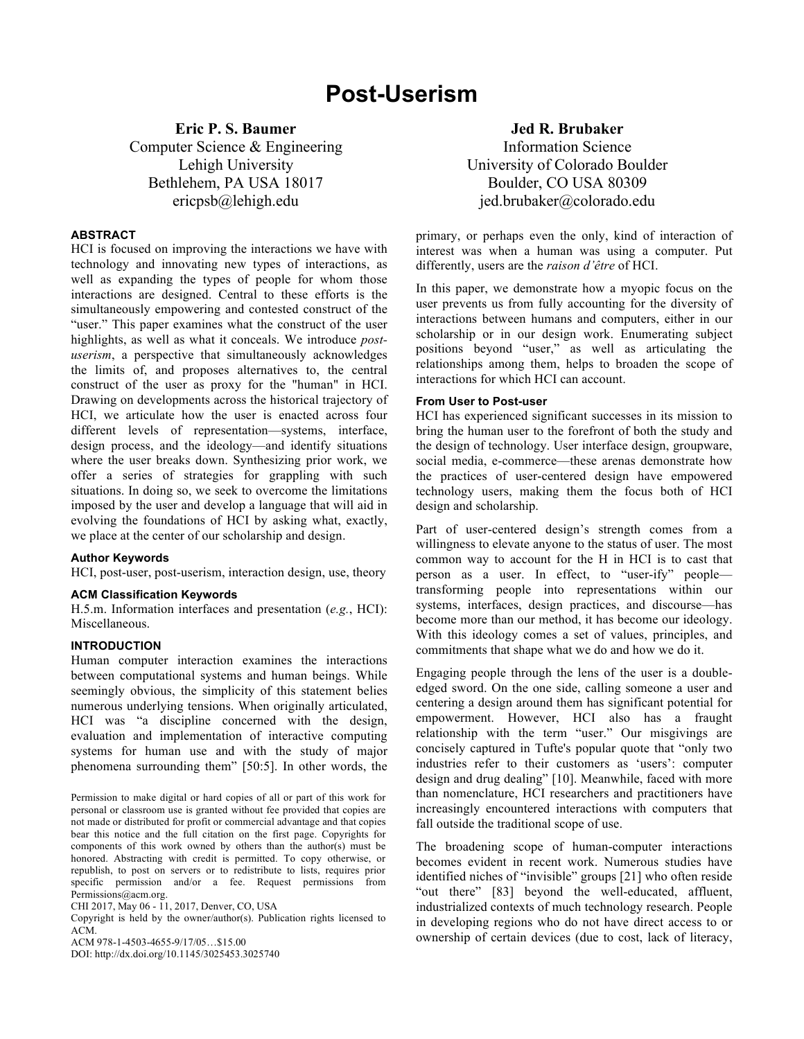# **Post-Userism**

**Eric P. S. Baumer** Computer Science & Engineering Lehigh University Bethlehem, PA USA 18017 ericpsb@lehigh.edu

## **ABSTRACT**

HCI is focused on improving the interactions we have with technology and innovating new types of interactions, as well as expanding the types of people for whom those interactions are designed. Central to these efforts is the simultaneously empowering and contested construct of the "user." This paper examines what the construct of the user highlights, as well as what it conceals. We introduce *postuserism*, a perspective that simultaneously acknowledges the limits of, and proposes alternatives to, the central construct of the user as proxy for the "human" in HCI. Drawing on developments across the historical trajectory of HCI, we articulate how the user is enacted across four different levels of representation—systems, interface, design process, and the ideology—and identify situations where the user breaks down. Synthesizing prior work, we offer a series of strategies for grappling with such situations. In doing so, we seek to overcome the limitations imposed by the user and develop a language that will aid in evolving the foundations of HCI by asking what, exactly, we place at the center of our scholarship and design.

#### **Author Keywords**

HCI, post-user, post-userism, interaction design, use, theory

#### **ACM Classification Keywords**

H.5.m. Information interfaces and presentation (*e.g.*, HCI): Miscellaneous.

## **INTRODUCTION**

Human computer interaction examines the interactions between computational systems and human beings. While seemingly obvious, the simplicity of this statement belies numerous underlying tensions. When originally articulated, HCI was "a discipline concerned with the design, evaluation and implementation of interactive computing systems for human use and with the study of major phenomena surrounding them" [50:5]. In other words, the

Permission to make digital or hard copies of all or part of this work for personal or classroom use is granted without fee provided that copies are not made or distributed for profit or commercial advantage and that copies bear this notice and the full citation on the first page. Copyrights for components of this work owned by others than the author(s) must be honored. Abstracting with credit is permitted. To copy otherwise, or republish, to post on servers or to redistribute to lists, requires prior specific permission and/or a fee. Request permissions from Permissions@acm.org.

CHI 2017, May 06 - 11, 2017, Denver, CO, USA

Copyright is held by the owner/author(s). Publication rights licensed to ACM.

ACM 978-1-4503-4655-9/17/05…\$15.00

DOI: http://dx.doi.org/10.1145/3025453.3025740

**Jed R. Brubaker**

Information Science University of Colorado Boulder Boulder, CO USA 80309 jed.brubaker@colorado.edu

primary, or perhaps even the only, kind of interaction of interest was when a human was using a computer. Put differently, users are the *raison d'être* of HCI.

In this paper, we demonstrate how a myopic focus on the user prevents us from fully accounting for the diversity of interactions between humans and computers, either in our scholarship or in our design work. Enumerating subject positions beyond "user," as well as articulating the relationships among them, helps to broaden the scope of interactions for which HCI can account.

#### **From User to Post-user**

HCI has experienced significant successes in its mission to bring the human user to the forefront of both the study and the design of technology. User interface design, groupware, social media, e-commerce—these arenas demonstrate how the practices of user-centered design have empowered technology users, making them the focus both of HCI design and scholarship.

Part of user-centered design's strength comes from a willingness to elevate anyone to the status of user. The most common way to account for the H in HCI is to cast that person as a user. In effect, to "user-ify" people transforming people into representations within our systems, interfaces, design practices, and discourse—has become more than our method, it has become our ideology. With this ideology comes a set of values, principles, and commitments that shape what we do and how we do it.

Engaging people through the lens of the user is a doubleedged sword. On the one side, calling someone a user and centering a design around them has significant potential for empowerment. However, HCI also has a fraught relationship with the term "user." Our misgivings are concisely captured in Tufte's popular quote that "only two industries refer to their customers as 'users': computer design and drug dealing" [10]. Meanwhile, faced with more than nomenclature, HCI researchers and practitioners have increasingly encountered interactions with computers that fall outside the traditional scope of use.

The broadening scope of human-computer interactions becomes evident in recent work. Numerous studies have identified niches of "invisible" groups [21] who often reside "out there" [83] beyond the well-educated, affluent, industrialized contexts of much technology research. People in developing regions who do not have direct access to or ownership of certain devices (due to cost, lack of literacy,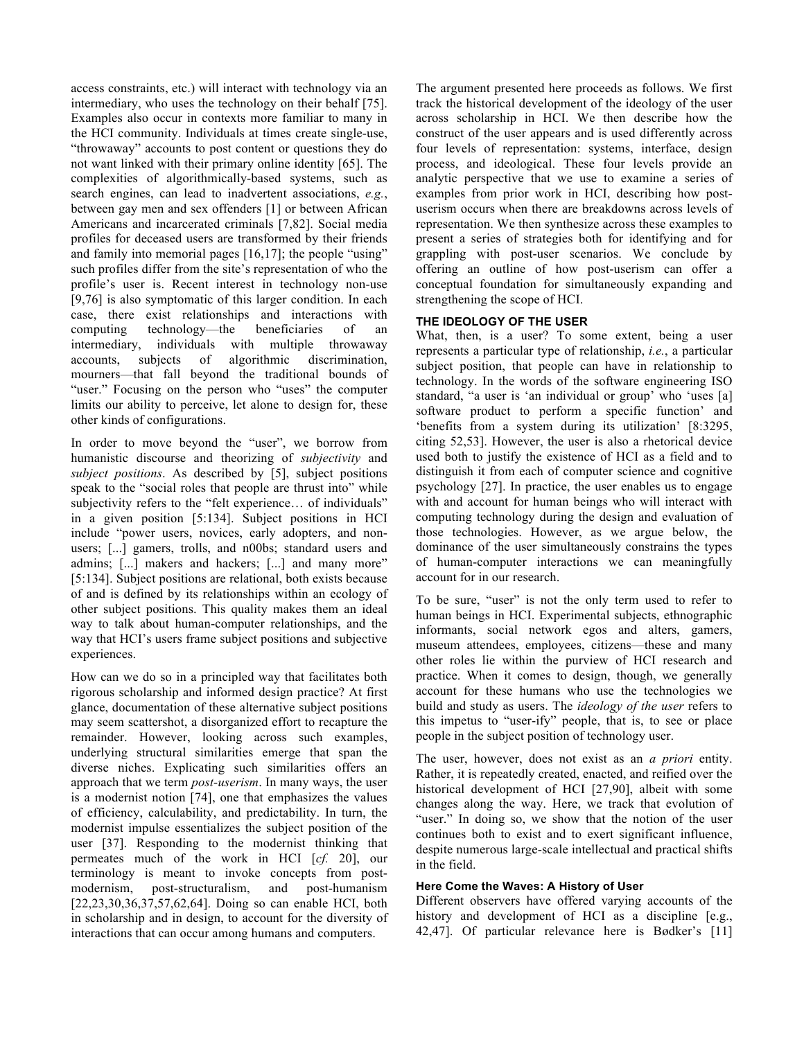access constraints, etc.) will interact with technology via an intermediary, who uses the technology on their behalf [75]. Examples also occur in contexts more familiar to many in the HCI community. Individuals at times create single-use, "throwaway" accounts to post content or questions they do not want linked with their primary online identity [65]. The complexities of algorithmically-based systems, such as search engines, can lead to inadvertent associations, *e.g.*, between gay men and sex offenders [1] or between African Americans and incarcerated criminals [7,82]. Social media profiles for deceased users are transformed by their friends and family into memorial pages [16,17]; the people "using" such profiles differ from the site's representation of who the profile's user is. Recent interest in technology non-use [9,76] is also symptomatic of this larger condition. In each case, there exist relationships and interactions with computing technology—the beneficiaries of an intermediary, individuals with multiple throwaway accounts, subjects of algorithmic discrimination, mourners—that fall beyond the traditional bounds of "user." Focusing on the person who "uses" the computer limits our ability to perceive, let alone to design for, these other kinds of configurations.

In order to move beyond the "user", we borrow from humanistic discourse and theorizing of *subjectivity* and *subject positions*. As described by [5], subject positions speak to the "social roles that people are thrust into" while subjectivity refers to the "felt experience… of individuals" in a given position [5:134]. Subject positions in HCI include "power users, novices, early adopters, and nonusers; [...] gamers, trolls, and n00bs; standard users and admins; [...] makers and hackers; [...] and many more" [5:134]. Subject positions are relational, both exists because of and is defined by its relationships within an ecology of other subject positions. This quality makes them an ideal way to talk about human-computer relationships, and the way that HCI's users frame subject positions and subjective experiences.

How can we do so in a principled way that facilitates both rigorous scholarship and informed design practice? At first glance, documentation of these alternative subject positions may seem scattershot, a disorganized effort to recapture the remainder. However, looking across such examples, underlying structural similarities emerge that span the diverse niches. Explicating such similarities offers an approach that we term *post-userism*. In many ways, the user is a modernist notion [74], one that emphasizes the values of efficiency, calculability, and predictability. In turn, the modernist impulse essentializes the subject position of the user [37]. Responding to the modernist thinking that permeates much of the work in HCI [*cf.* 20], our terminology is meant to invoke concepts from postmodernism, post-structuralism, and post-humanism [22,23,30,36,37,57,62,64]. Doing so can enable HCI, both in scholarship and in design, to account for the diversity of interactions that can occur among humans and computers.

The argument presented here proceeds as follows. We first track the historical development of the ideology of the user across scholarship in HCI. We then describe how the construct of the user appears and is used differently across four levels of representation: systems, interface, design process, and ideological. These four levels provide an analytic perspective that we use to examine a series of examples from prior work in HCI, describing how postuserism occurs when there are breakdowns across levels of representation. We then synthesize across these examples to present a series of strategies both for identifying and for grappling with post-user scenarios. We conclude by offering an outline of how post-userism can offer a conceptual foundation for simultaneously expanding and strengthening the scope of HCI.

# **THE IDEOLOGY OF THE USER**

What, then, is a user? To some extent, being a user represents a particular type of relationship, *i.e.*, a particular subject position, that people can have in relationship to technology. In the words of the software engineering ISO standard, "a user is 'an individual or group' who 'uses [a] software product to perform a specific function' and 'benefits from a system during its utilization' [8:3295, citing 52,53]. However, the user is also a rhetorical device used both to justify the existence of HCI as a field and to distinguish it from each of computer science and cognitive psychology [27]. In practice, the user enables us to engage with and account for human beings who will interact with computing technology during the design and evaluation of those technologies. However, as we argue below, the dominance of the user simultaneously constrains the types of human-computer interactions we can meaningfully account for in our research.

To be sure, "user" is not the only term used to refer to human beings in HCI. Experimental subjects, ethnographic informants, social network egos and alters, gamers, museum attendees, employees, citizens—these and many other roles lie within the purview of HCI research and practice. When it comes to design, though, we generally account for these humans who use the technologies we build and study as users. The *ideology of the user* refers to this impetus to "user-ify" people, that is, to see or place people in the subject position of technology user.

The user, however, does not exist as an *a priori* entity. Rather, it is repeatedly created, enacted, and reified over the historical development of HCI [27,90], albeit with some changes along the way. Here, we track that evolution of "user." In doing so, we show that the notion of the user continues both to exist and to exert significant influence, despite numerous large-scale intellectual and practical shifts in the field.

# **Here Come the Waves: A History of User**

Different observers have offered varying accounts of the history and development of HCI as a discipline [e.g., 42,47]. Of particular relevance here is Bødker's [11]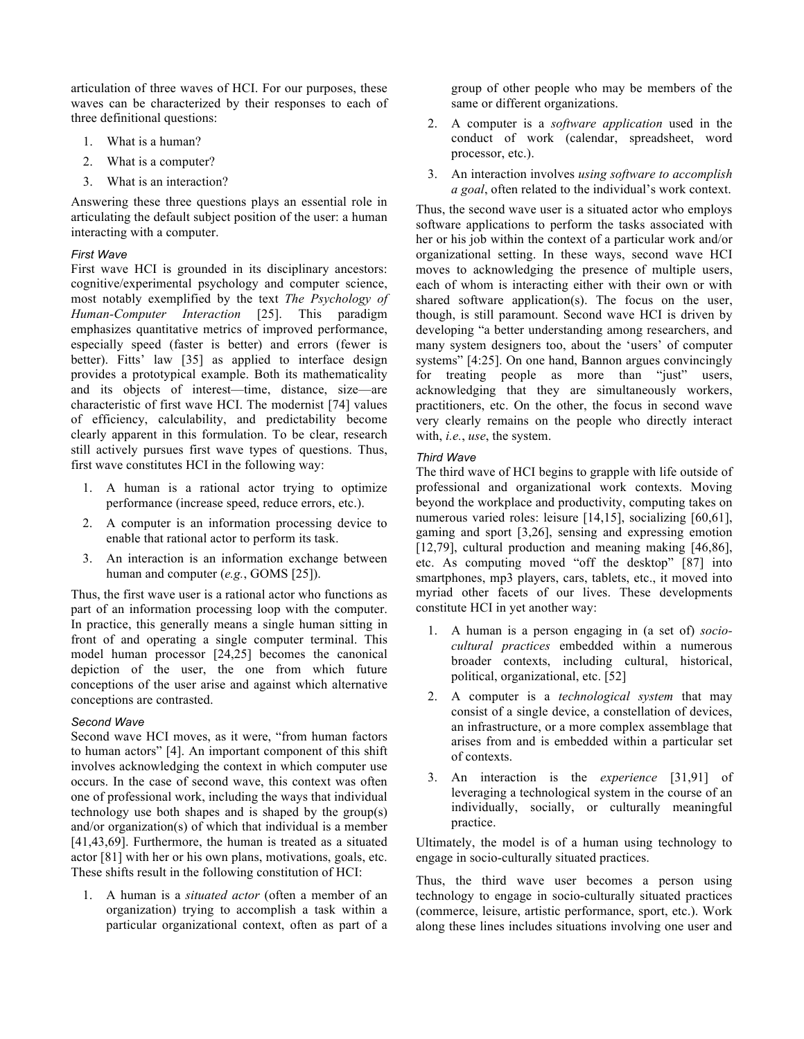articulation of three waves of HCI. For our purposes, these waves can be characterized by their responses to each of three definitional questions:

- 1. What is a human?
- 2. What is a computer?
- 3. What is an interaction?

Answering these three questions plays an essential role in articulating the default subject position of the user: a human interacting with a computer.

# *First Wave*

First wave HCI is grounded in its disciplinary ancestors: cognitive/experimental psychology and computer science, most notably exemplified by the text *The Psychology of Human-Computer Interaction* [25]. This paradigm emphasizes quantitative metrics of improved performance, especially speed (faster is better) and errors (fewer is better). Fitts' law [35] as applied to interface design provides a prototypical example. Both its mathematicality and its objects of interest—time, distance, size—are characteristic of first wave HCI. The modernist [74] values of efficiency, calculability, and predictability become clearly apparent in this formulation. To be clear, research still actively pursues first wave types of questions. Thus, first wave constitutes HCI in the following way:

- 1. A human is a rational actor trying to optimize performance (increase speed, reduce errors, etc.).
- 2. A computer is an information processing device to enable that rational actor to perform its task.
- 3. An interaction is an information exchange between human and computer (*e.g.*, GOMS [25]).

Thus, the first wave user is a rational actor who functions as part of an information processing loop with the computer. In practice, this generally means a single human sitting in front of and operating a single computer terminal. This model human processor [24,25] becomes the canonical depiction of the user, the one from which future conceptions of the user arise and against which alternative conceptions are contrasted.

# *Second Wave*

Second wave HCI moves, as it were, "from human factors to human actors" [4]. An important component of this shift involves acknowledging the context in which computer use occurs. In the case of second wave, this context was often one of professional work, including the ways that individual technology use both shapes and is shaped by the group(s) and/or organization(s) of which that individual is a member [41,43,69]. Furthermore, the human is treated as a situated actor [81] with her or his own plans, motivations, goals, etc. These shifts result in the following constitution of HCI:

1. A human is a *situated actor* (often a member of an organization) trying to accomplish a task within a particular organizational context, often as part of a

group of other people who may be members of the same or different organizations.

- 2. A computer is a *software application* used in the conduct of work (calendar, spreadsheet, word processor, etc.).
- 3. An interaction involves *using software to accomplish a goal*, often related to the individual's work context.

Thus, the second wave user is a situated actor who employs software applications to perform the tasks associated with her or his job within the context of a particular work and/or organizational setting. In these ways, second wave HCI moves to acknowledging the presence of multiple users, each of whom is interacting either with their own or with shared software application(s). The focus on the user, though, is still paramount. Second wave HCI is driven by developing "a better understanding among researchers, and many system designers too, about the 'users' of computer systems" [4:25]. On one hand, Bannon argues convincingly for treating people as more than "just" users, acknowledging that they are simultaneously workers, practitioners, etc. On the other, the focus in second wave very clearly remains on the people who directly interact with, *i.e.*, *use*, the system.

# *Third Wave*

The third wave of HCI begins to grapple with life outside of professional and organizational work contexts. Moving beyond the workplace and productivity, computing takes on numerous varied roles: leisure [14,15], socializing [60,61], gaming and sport [3,26], sensing and expressing emotion [12,79], cultural production and meaning making [46,86], etc. As computing moved "off the desktop" [87] into smartphones, mp3 players, cars, tablets, etc., it moved into myriad other facets of our lives. These developments constitute HCI in yet another way:

- 1. A human is a person engaging in (a set of) *sociocultural practices* embedded within a numerous broader contexts, including cultural, historical, political, organizational, etc. [52]
- 2. A computer is a *technological system* that may consist of a single device, a constellation of devices, an infrastructure, or a more complex assemblage that arises from and is embedded within a particular set of contexts.
- 3. An interaction is the *experience* [31,91] of leveraging a technological system in the course of an individually, socially, or culturally meaningful practice.

Ultimately, the model is of a human using technology to engage in socio-culturally situated practices.

Thus, the third wave user becomes a person using technology to engage in socio-culturally situated practices (commerce, leisure, artistic performance, sport, etc.). Work along these lines includes situations involving one user and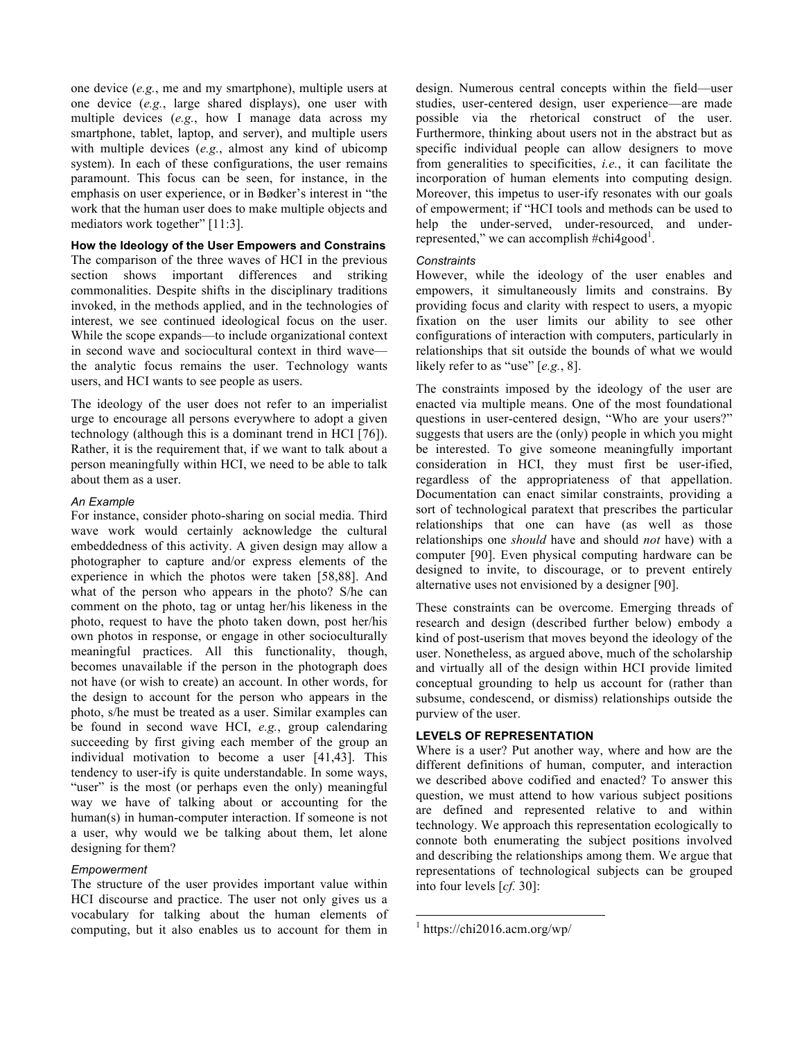one device (*e.g.*, me and my smartphone), multiple users at one device (*e.g.*, large shared displays), one user with multiple devices (*e.g.*, how I manage data across my smartphone, tablet, laptop, and server), and multiple users with multiple devices (*e.g.*, almost any kind of ubicomp system). In each of these configurations, the user remains paramount. This focus can be seen, for instance, in the emphasis on user experience, or in Bødker's interest in "the work that the human user does to make multiple objects and mediators work together" [11:3].

## **How the Ideology of the User Empowers and Constrains**

The comparison of the three waves of HCI in the previous section shows important differences and striking commonalities. Despite shifts in the disciplinary traditions invoked, in the methods applied, and in the technologies of interest, we see continued ideological focus on the user. While the scope expands—to include organizational context in second wave and sociocultural context in third wave the analytic focus remains the user. Technology wants users, and HCI wants to see people as users.

The ideology of the user does not refer to an imperialist urge to encourage all persons everywhere to adopt a given technology (although this is a dominant trend in HCI [76]). Rather, it is the requirement that, if we want to talk about a person meaningfully within HCI, we need to be able to talk about them as a user.

### *An Example*

For instance, consider photo-sharing on social media. Third wave work would certainly acknowledge the cultural embeddedness of this activity. A given design may allow a photographer to capture and/or express elements of the experience in which the photos were taken [58,88]. And what of the person who appears in the photo? S/he can comment on the photo, tag or untag her/his likeness in the photo, request to have the photo taken down, post her/his own photos in response, or engage in other socioculturally meaningful practices. All this functionality, though, becomes unavailable if the person in the photograph does not have (or wish to create) an account. In other words, for the design to account for the person who appears in the photo, s/he must be treated as a user. Similar examples can be found in second wave HCI, *e.g.*, group calendaring succeeding by first giving each member of the group an individual motivation to become a user [41,43]. This tendency to user-ify is quite understandable. In some ways, "user" is the most (or perhaps even the only) meaningful way we have of talking about or accounting for the human(s) in human-computer interaction. If someone is not a user, why would we be talking about them, let alone designing for them?

# *Empowerment*

The structure of the user provides important value within HCI discourse and practice. The user not only gives us a vocabulary for talking about the human elements of computing, but it also enables us to account for them in design. Numerous central concepts within the field—user studies, user-centered design, user experience—are made possible via the rhetorical construct of the user. Furthermore, thinking about users not in the abstract but as specific individual people can allow designers to move from generalities to specificities, *i.e.*, it can facilitate the incorporation of human elements into computing design. Moreover, this impetus to user-ify resonates with our goals of empowerment; if "HCI tools and methods can be used to help the under-served, under-resourced, and underrepresented," we can accomplish #chi4good<sup>1</sup>.

## *Constraints*

However, while the ideology of the user enables and empowers, it simultaneously limits and constrains. By providing focus and clarity with respect to users, a myopic fixation on the user limits our ability to see other configurations of interaction with computers, particularly in relationships that sit outside the bounds of what we would likely refer to as "use" [*e.g.*, 8].

The constraints imposed by the ideology of the user are enacted via multiple means. One of the most foundational questions in user-centered design, "Who are your users?" suggests that users are the (only) people in which you might be interested. To give someone meaningfully important consideration in HCI, they must first be user-ified, regardless of the appropriateness of that appellation. Documentation can enact similar constraints, providing a sort of technological paratext that prescribes the particular relationships that one can have (as well as those relationships one *should* have and should *not* have) with a computer [90]. Even physical computing hardware can be designed to invite, to discourage, or to prevent entirely alternative uses not envisioned by a designer [90].

These constraints can be overcome. Emerging threads of research and design (described further below) embody a kind of post-userism that moves beyond the ideology of the user. Nonetheless, as argued above, much of the scholarship and virtually all of the design within HCI provide limited conceptual grounding to help us account for (rather than subsume, condescend, or dismiss) relationships outside the purview of the user.

# **LEVELS OF REPRESENTATION**

Where is a user? Put another way, where and how are the different definitions of human, computer, and interaction we described above codified and enacted? To answer this question, we must attend to how various subject positions are defined and represented relative to and within technology. We approach this representation ecologically to connote both enumerating the subject positions involved and describing the relationships among them. We argue that representations of technological subjects can be grouped into four levels [*cf.* 30]:

 $^1$  https://chi2016.acm.org/wp/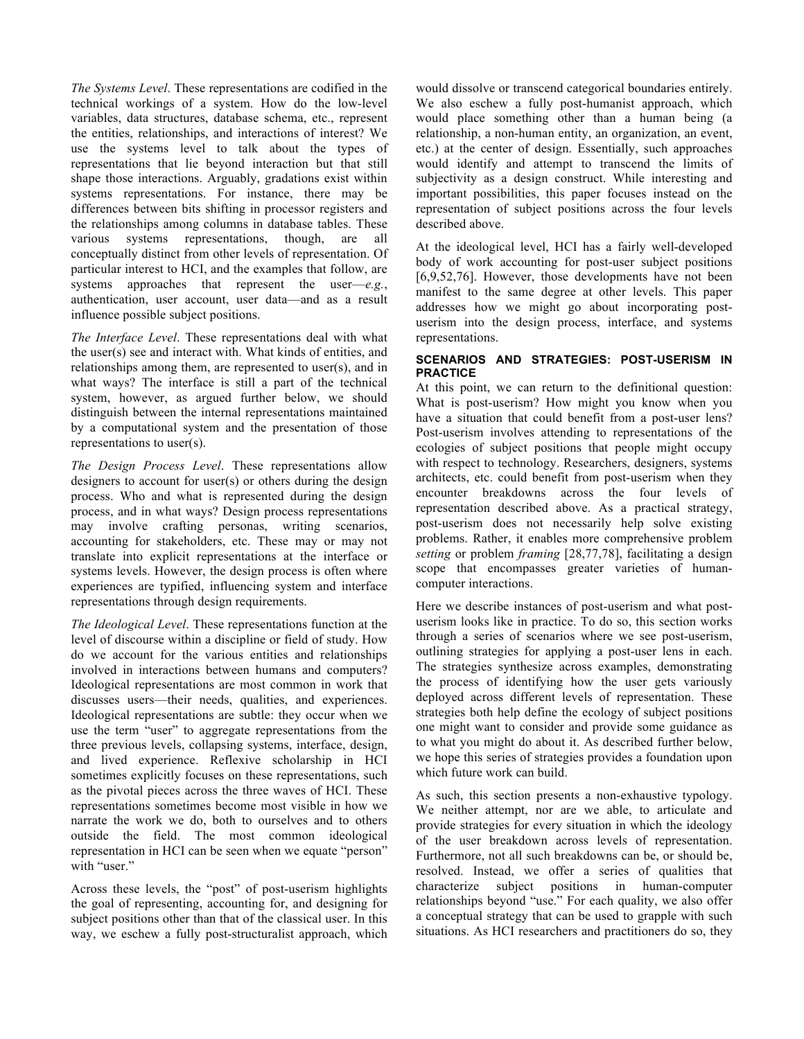*The Systems Level*. These representations are codified in the technical workings of a system. How do the low-level variables, data structures, database schema, etc., represent the entities, relationships, and interactions of interest? We use the systems level to talk about the types of representations that lie beyond interaction but that still shape those interactions. Arguably, gradations exist within systems representations. For instance, there may be differences between bits shifting in processor registers and the relationships among columns in database tables. These various systems representations, though, are all conceptually distinct from other levels of representation. Of particular interest to HCI, and the examples that follow, are systems approaches that represent the user—*e.g.*, authentication, user account, user data—and as a result influence possible subject positions.

*The Interface Level*. These representations deal with what the user(s) see and interact with. What kinds of entities, and relationships among them, are represented to user(s), and in what ways? The interface is still a part of the technical system, however, as argued further below, we should distinguish between the internal representations maintained by a computational system and the presentation of those representations to user(s).

*The Design Process Level*. These representations allow designers to account for user(s) or others during the design process. Who and what is represented during the design process, and in what ways? Design process representations may involve crafting personas, writing scenarios, accounting for stakeholders, etc. These may or may not translate into explicit representations at the interface or systems levels. However, the design process is often where experiences are typified, influencing system and interface representations through design requirements.

*The Ideological Level*. These representations function at the level of discourse within a discipline or field of study. How do we account for the various entities and relationships involved in interactions between humans and computers? Ideological representations are most common in work that discusses users—their needs, qualities, and experiences. Ideological representations are subtle: they occur when we use the term "user" to aggregate representations from the three previous levels, collapsing systems, interface, design, and lived experience. Reflexive scholarship in HCI sometimes explicitly focuses on these representations, such as the pivotal pieces across the three waves of HCI. These representations sometimes become most visible in how we narrate the work we do, both to ourselves and to others outside the field. The most common ideological representation in HCI can be seen when we equate "person" with "user."

Across these levels, the "post" of post-userism highlights the goal of representing, accounting for, and designing for subject positions other than that of the classical user. In this way, we eschew a fully post-structuralist approach, which

would dissolve or transcend categorical boundaries entirely. We also eschew a fully post-humanist approach, which would place something other than a human being (a relationship, a non-human entity, an organization, an event, etc.) at the center of design. Essentially, such approaches would identify and attempt to transcend the limits of subjectivity as a design construct. While interesting and important possibilities, this paper focuses instead on the representation of subject positions across the four levels described above.

At the ideological level, HCI has a fairly well-developed body of work accounting for post-user subject positions [6,9,52,76]. However, those developments have not been manifest to the same degree at other levels. This paper addresses how we might go about incorporating postuserism into the design process, interface, and systems representations.

# **SCENARIOS AND STRATEGIES: POST-USERISM IN PRACTICE**

At this point, we can return to the definitional question: What is post-userism? How might you know when you have a situation that could benefit from a post-user lens? Post-userism involves attending to representations of the ecologies of subject positions that people might occupy with respect to technology. Researchers, designers, systems architects, etc. could benefit from post-userism when they encounter breakdowns across the four levels of representation described above. As a practical strategy, post-userism does not necessarily help solve existing problems. Rather, it enables more comprehensive problem *setting* or problem *framing* [28,77,78], facilitating a design scope that encompasses greater varieties of humancomputer interactions.

Here we describe instances of post-userism and what postuserism looks like in practice. To do so, this section works through a series of scenarios where we see post-userism, outlining strategies for applying a post-user lens in each. The strategies synthesize across examples, demonstrating the process of identifying how the user gets variously deployed across different levels of representation. These strategies both help define the ecology of subject positions one might want to consider and provide some guidance as to what you might do about it. As described further below, we hope this series of strategies provides a foundation upon which future work can build.

As such, this section presents a non-exhaustive typology. We neither attempt, nor are we able, to articulate and provide strategies for every situation in which the ideology of the user breakdown across levels of representation. Furthermore, not all such breakdowns can be, or should be, resolved. Instead, we offer a series of qualities that characterize subject positions in human-computer relationships beyond "use." For each quality, we also offer a conceptual strategy that can be used to grapple with such situations. As HCI researchers and practitioners do so, they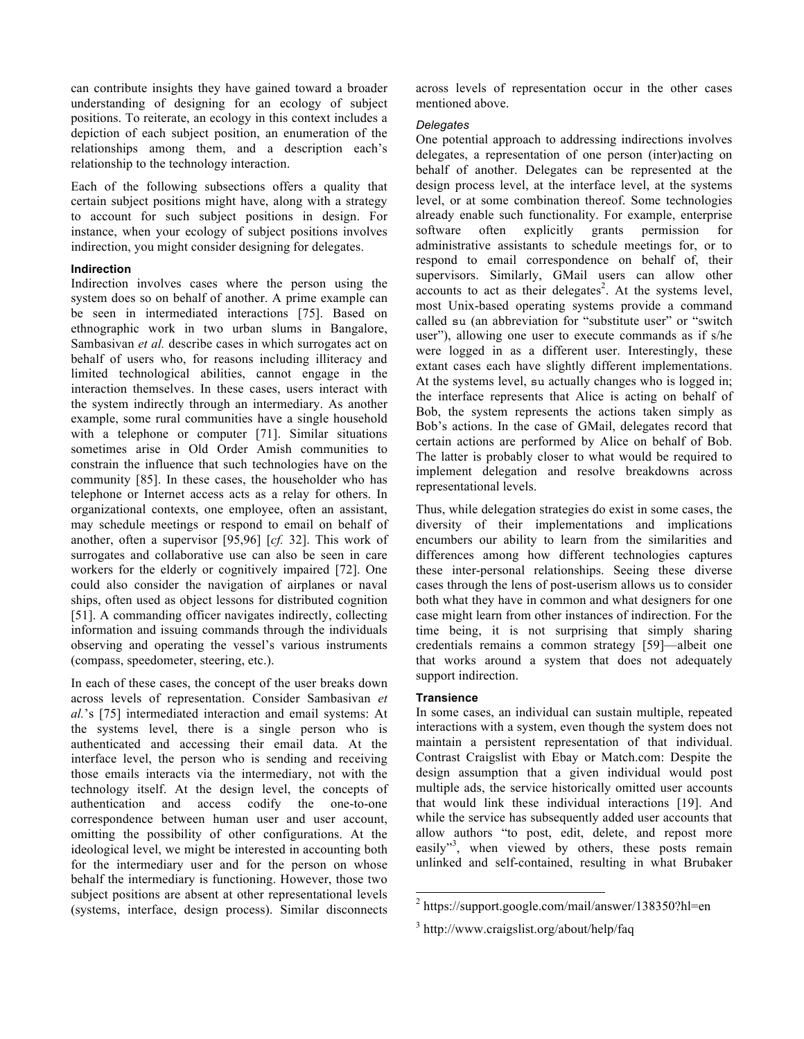can contribute insights they have gained toward a broader understanding of designing for an ecology of subject positions. To reiterate, an ecology in this context includes a depiction of each subject position, an enumeration of the relationships among them, and a description each's relationship to the technology interaction.

Each of the following subsections offers a quality that certain subject positions might have, along with a strategy to account for such subject positions in design. For instance, when your ecology of subject positions involves indirection, you might consider designing for delegates.

### **Indirection**

Indirection involves cases where the person using the system does so on behalf of another. A prime example can be seen in intermediated interactions [75]. Based on ethnographic work in two urban slums in Bangalore, Sambasivan *et al.* describe cases in which surrogates act on behalf of users who, for reasons including illiteracy and limited technological abilities, cannot engage in the interaction themselves. In these cases, users interact with the system indirectly through an intermediary. As another example, some rural communities have a single household with a telephone or computer [71]. Similar situations sometimes arise in Old Order Amish communities to constrain the influence that such technologies have on the community [85]. In these cases, the householder who has telephone or Internet access acts as a relay for others. In organizational contexts, one employee, often an assistant, may schedule meetings or respond to email on behalf of another, often a supervisor [95,96] [*cf.* 32]. This work of surrogates and collaborative use can also be seen in care workers for the elderly or cognitively impaired [72]. One could also consider the navigation of airplanes or naval ships, often used as object lessons for distributed cognition [51]. A commanding officer navigates indirectly, collecting information and issuing commands through the individuals observing and operating the vessel's various instruments (compass, speedometer, steering, etc.).

In each of these cases, the concept of the user breaks down across levels of representation. Consider Sambasivan *et al.*'s [75] intermediated interaction and email systems: At the systems level, there is a single person who is authenticated and accessing their email data. At the interface level, the person who is sending and receiving those emails interacts via the intermediary, not with the technology itself. At the design level, the concepts of authentication and access codify the one-to-one correspondence between human user and user account, omitting the possibility of other configurations. At the ideological level, we might be interested in accounting both for the intermediary user and for the person on whose behalf the intermediary is functioning. However, those two subject positions are absent at other representational levels (systems, interface, design process). Similar disconnects

across levels of representation occur in the other cases mentioned above.

### *Delegates*

One potential approach to addressing indirections involves delegates, a representation of one person (inter)acting on behalf of another. Delegates can be represented at the design process level, at the interface level, at the systems level, or at some combination thereof. Some technologies already enable such functionality. For example, enterprise software often explicitly grants permission for administrative assistants to schedule meetings for, or to respond to email correspondence on behalf of, their supervisors. Similarly, GMail users can allow other  $accounts$  to act as their delegates<sup>2</sup>. At the systems level, most Unix-based operating systems provide a command called su (an abbreviation for "substitute user" or "switch user"), allowing one user to execute commands as if s/he were logged in as a different user. Interestingly, these extant cases each have slightly different implementations. At the systems level, su actually changes who is logged in; the interface represents that Alice is acting on behalf of Bob, the system represents the actions taken simply as Bob's actions. In the case of GMail, delegates record that certain actions are performed by Alice on behalf of Bob. The latter is probably closer to what would be required to implement delegation and resolve breakdowns across representational levels.

Thus, while delegation strategies do exist in some cases, the diversity of their implementations and implications encumbers our ability to learn from the similarities and differences among how different technologies captures these inter-personal relationships. Seeing these diverse cases through the lens of post-userism allows us to consider both what they have in common and what designers for one case might learn from other instances of indirection. For the time being, it is not surprising that simply sharing credentials remains a common strategy [59]—albeit one that works around a system that does not adequately support indirection.

# **Transience**

In some cases, an individual can sustain multiple, repeated interactions with a system, even though the system does not maintain a persistent representation of that individual. Contrast Craigslist with Ebay or Match.com: Despite the design assumption that a given individual would post multiple ads, the service historically omitted user accounts that would link these individual interactions [19]. And while the service has subsequently added user accounts that allow authors "to post, edit, delete, and repost more easily"<sup>3</sup>, when viewed by others, these posts remain unlinked and self-contained, resulting in what Brubaker

 $^{2}$  https://support.google.com/mail/answer/138350?hl=en

<sup>&</sup>lt;sup>3</sup> http://www.craigslist.org/about/help/faq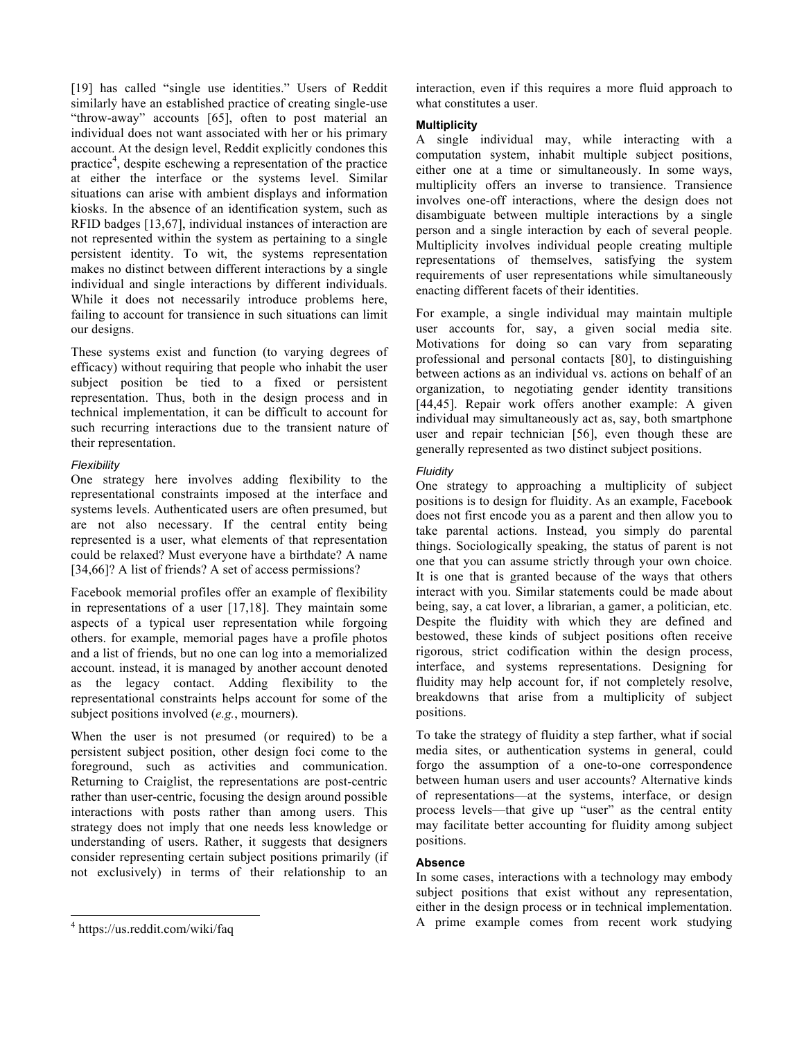[19] has called "single use identities." Users of Reddit similarly have an established practice of creating single-use "throw-away" accounts [65], often to post material an individual does not want associated with her or his primary account. At the design level, Reddit explicitly condones this practice<sup>4</sup>, despite eschewing a representation of the practice at either the interface or the systems level. Similar situations can arise with ambient displays and information kiosks. In the absence of an identification system, such as RFID badges [13,67], individual instances of interaction are not represented within the system as pertaining to a single persistent identity. To wit, the systems representation makes no distinct between different interactions by a single individual and single interactions by different individuals. While it does not necessarily introduce problems here, failing to account for transience in such situations can limit our designs.

These systems exist and function (to varying degrees of efficacy) without requiring that people who inhabit the user subject position be tied to a fixed or persistent representation. Thus, both in the design process and in technical implementation, it can be difficult to account for such recurring interactions due to the transient nature of their representation.

# *Flexibility*

One strategy here involves adding flexibility to the representational constraints imposed at the interface and systems levels. Authenticated users are often presumed, but are not also necessary. If the central entity being represented is a user, what elements of that representation could be relaxed? Must everyone have a birthdate? A name [34,66]? A list of friends? A set of access permissions?

Facebook memorial profiles offer an example of flexibility in representations of a user [17,18]. They maintain some aspects of a typical user representation while forgoing others. for example, memorial pages have a profile photos and a list of friends, but no one can log into a memorialized account. instead, it is managed by another account denoted as the legacy contact. Adding flexibility to the representational constraints helps account for some of the subject positions involved (*e.g.*, mourners).

When the user is not presumed (or required) to be a persistent subject position, other design foci come to the foreground, such as activities and communication. Returning to Craiglist, the representations are post-centric rather than user-centric, focusing the design around possible interactions with posts rather than among users. This strategy does not imply that one needs less knowledge or understanding of users. Rather, it suggests that designers consider representing certain subject positions primarily (if not exclusively) in terms of their relationship to an interaction, even if this requires a more fluid approach to what constitutes a user.

# **Multiplicity**

A single individual may, while interacting with a computation system, inhabit multiple subject positions, either one at a time or simultaneously. In some ways, multiplicity offers an inverse to transience. Transience involves one-off interactions, where the design does not disambiguate between multiple interactions by a single person and a single interaction by each of several people. Multiplicity involves individual people creating multiple representations of themselves, satisfying the system requirements of user representations while simultaneously enacting different facets of their identities.

For example, a single individual may maintain multiple user accounts for, say, a given social media site. Motivations for doing so can vary from separating professional and personal contacts [80], to distinguishing between actions as an individual vs. actions on behalf of an organization, to negotiating gender identity transitions [44,45]. Repair work offers another example: A given individual may simultaneously act as, say, both smartphone user and repair technician [56], even though these are generally represented as two distinct subject positions.

# *Fluidity*

One strategy to approaching a multiplicity of subject positions is to design for fluidity. As an example, Facebook does not first encode you as a parent and then allow you to take parental actions. Instead, you simply do parental things. Sociologically speaking, the status of parent is not one that you can assume strictly through your own choice. It is one that is granted because of the ways that others interact with you. Similar statements could be made about being, say, a cat lover, a librarian, a gamer, a politician, etc. Despite the fluidity with which they are defined and bestowed, these kinds of subject positions often receive rigorous, strict codification within the design process, interface, and systems representations. Designing for fluidity may help account for, if not completely resolve, breakdowns that arise from a multiplicity of subject positions.

To take the strategy of fluidity a step farther, what if social media sites, or authentication systems in general, could forgo the assumption of a one-to-one correspondence between human users and user accounts? Alternative kinds of representations—at the systems, interface, or design process levels—that give up "user" as the central entity may facilitate better accounting for fluidity among subject positions.

# **Absence**

In some cases, interactions with a technology may embody subject positions that exist without any representation, either in the design process or in technical implementation. A prime example comes from recent work studying

 $4 \text{ https://us.reddit.com/wiki/faq}$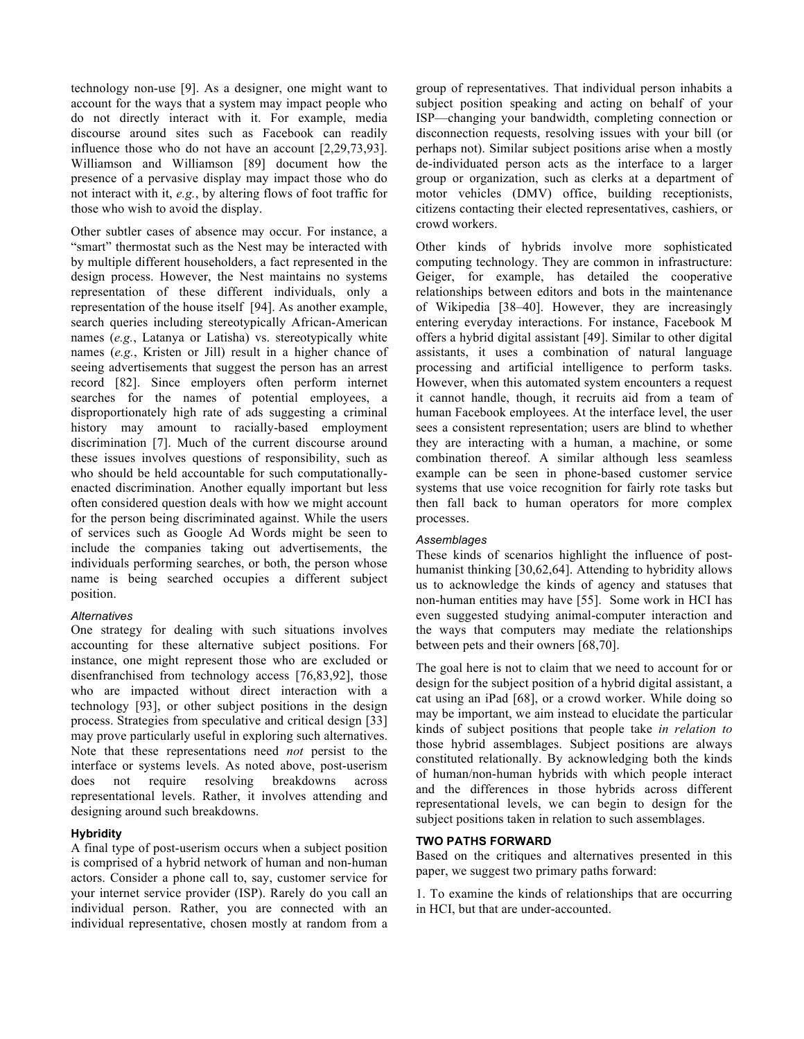technology non-use [9]. As a designer, one might want to account for the ways that a system may impact people who do not directly interact with it. For example, media discourse around sites such as Facebook can readily influence those who do not have an account [2,29,73,93]. Williamson and Williamson [89] document how the presence of a pervasive display may impact those who do not interact with it, *e.g.*, by altering flows of foot traffic for those who wish to avoid the display.

Other subtler cases of absence may occur. For instance, a "smart" thermostat such as the Nest may be interacted with by multiple different householders, a fact represented in the design process. However, the Nest maintains no systems representation of these different individuals, only a representation of the house itself [94]. As another example, search queries including stereotypically African-American names (*e.g.*, Latanya or Latisha) vs. stereotypically white names (*e.g.*, Kristen or Jill) result in a higher chance of seeing advertisements that suggest the person has an arrest record [82]. Since employers often perform internet searches for the names of potential employees, a disproportionately high rate of ads suggesting a criminal history may amount to racially-based employment discrimination [7]. Much of the current discourse around these issues involves questions of responsibility, such as who should be held accountable for such computationallyenacted discrimination. Another equally important but less often considered question deals with how we might account for the person being discriminated against. While the users of services such as Google Ad Words might be seen to include the companies taking out advertisements, the individuals performing searches, or both, the person whose name is being searched occupies a different subject position.

# *Alternatives*

One strategy for dealing with such situations involves accounting for these alternative subject positions. For instance, one might represent those who are excluded or disenfranchised from technology access [76,83,92], those who are impacted without direct interaction with a technology [93], or other subject positions in the design process. Strategies from speculative and critical design [33] may prove particularly useful in exploring such alternatives. Note that these representations need *not* persist to the interface or systems levels. As noted above, post-userism does not require resolving breakdowns across representational levels. Rather, it involves attending and designing around such breakdowns.

# **Hybridity**

A final type of post-userism occurs when a subject position is comprised of a hybrid network of human and non-human actors. Consider a phone call to, say, customer service for your internet service provider (ISP). Rarely do you call an individual person. Rather, you are connected with an individual representative, chosen mostly at random from a

group of representatives. That individual person inhabits a subject position speaking and acting on behalf of your ISP—changing your bandwidth, completing connection or disconnection requests, resolving issues with your bill (or perhaps not). Similar subject positions arise when a mostly de-individuated person acts as the interface to a larger group or organization, such as clerks at a department of motor vehicles (DMV) office, building receptionists, citizens contacting their elected representatives, cashiers, or crowd workers.

Other kinds of hybrids involve more sophisticated computing technology. They are common in infrastructure: Geiger, for example, has detailed the cooperative relationships between editors and bots in the maintenance of Wikipedia [38–40]. However, they are increasingly entering everyday interactions. For instance, Facebook M offers a hybrid digital assistant [49]. Similar to other digital assistants, it uses a combination of natural language processing and artificial intelligence to perform tasks. However, when this automated system encounters a request it cannot handle, though, it recruits aid from a team of human Facebook employees. At the interface level, the user sees a consistent representation; users are blind to whether they are interacting with a human, a machine, or some combination thereof. A similar although less seamless example can be seen in phone-based customer service systems that use voice recognition for fairly rote tasks but then fall back to human operators for more complex processes.

# *Assemblages*

These kinds of scenarios highlight the influence of posthumanist thinking [30,62,64]. Attending to hybridity allows us to acknowledge the kinds of agency and statuses that non-human entities may have [55]. Some work in HCI has even suggested studying animal-computer interaction and the ways that computers may mediate the relationships between pets and their owners [68,70].

The goal here is not to claim that we need to account for or design for the subject position of a hybrid digital assistant, a cat using an iPad [68], or a crowd worker. While doing so may be important, we aim instead to elucidate the particular kinds of subject positions that people take *in relation to* those hybrid assemblages. Subject positions are always constituted relationally. By acknowledging both the kinds of human/non-human hybrids with which people interact and the differences in those hybrids across different representational levels, we can begin to design for the subject positions taken in relation to such assemblages.

# **TWO PATHS FORWARD**

Based on the critiques and alternatives presented in this paper, we suggest two primary paths forward:

1. To examine the kinds of relationships that are occurring in HCI, but that are under-accounted.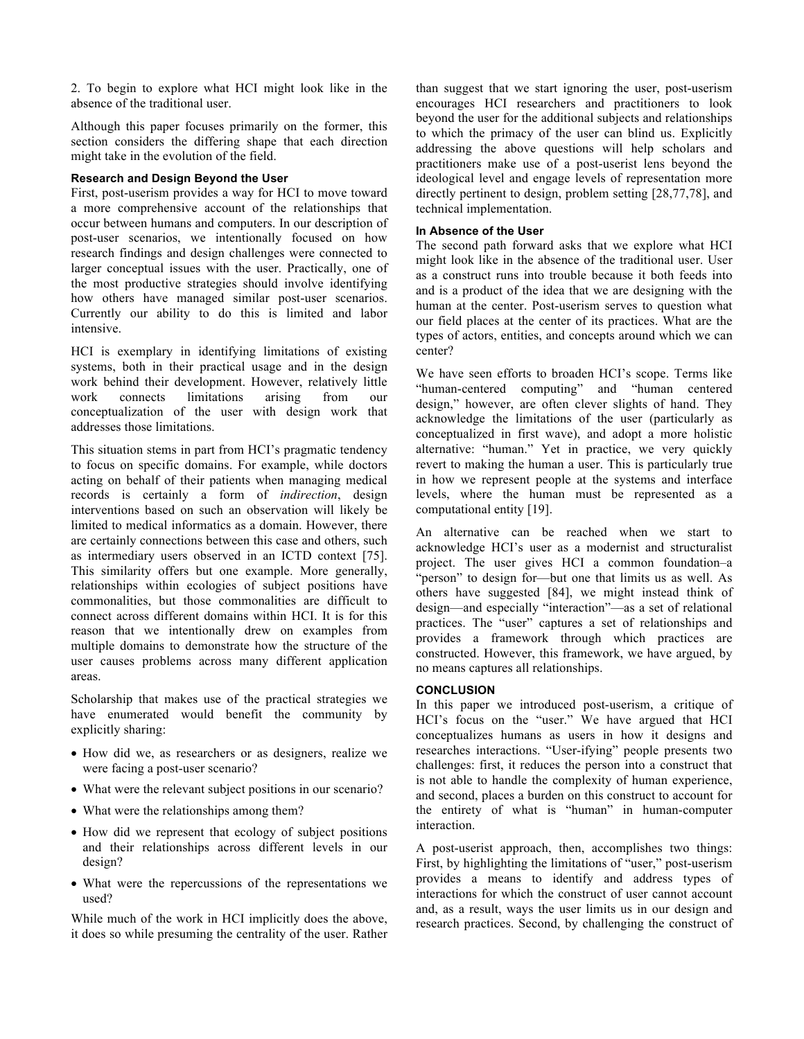2. To begin to explore what HCI might look like in the absence of the traditional user.

Although this paper focuses primarily on the former, this section considers the differing shape that each direction might take in the evolution of the field.

# **Research and Design Beyond the User**

First, post-userism provides a way for HCI to move toward a more comprehensive account of the relationships that occur between humans and computers. In our description of post-user scenarios, we intentionally focused on how research findings and design challenges were connected to larger conceptual issues with the user. Practically, one of the most productive strategies should involve identifying how others have managed similar post-user scenarios. Currently our ability to do this is limited and labor intensive.

HCI is exemplary in identifying limitations of existing systems, both in their practical usage and in the design work behind their development. However, relatively little work connects limitations arising from our conceptualization of the user with design work that addresses those limitations.

This situation stems in part from HCI's pragmatic tendency to focus on specific domains. For example, while doctors acting on behalf of their patients when managing medical records is certainly a form of *indirection*, design interventions based on such an observation will likely be limited to medical informatics as a domain. However, there are certainly connections between this case and others, such as intermediary users observed in an ICTD context [75]. This similarity offers but one example. More generally, relationships within ecologies of subject positions have commonalities, but those commonalities are difficult to connect across different domains within HCI. It is for this reason that we intentionally drew on examples from multiple domains to demonstrate how the structure of the user causes problems across many different application areas.

Scholarship that makes use of the practical strategies we have enumerated would benefit the community by explicitly sharing:

- How did we, as researchers or as designers, realize we were facing a post-user scenario?
- What were the relevant subject positions in our scenario?
- What were the relationships among them?
- How did we represent that ecology of subject positions and their relationships across different levels in our design?
- What were the repercussions of the representations we used?

While much of the work in HCI implicitly does the above, it does so while presuming the centrality of the user. Rather than suggest that we start ignoring the user, post-userism encourages HCI researchers and practitioners to look beyond the user for the additional subjects and relationships to which the primacy of the user can blind us. Explicitly addressing the above questions will help scholars and practitioners make use of a post-userist lens beyond the ideological level and engage levels of representation more directly pertinent to design, problem setting [28,77,78], and technical implementation.

# **In Absence of the User**

The second path forward asks that we explore what HCI might look like in the absence of the traditional user. User as a construct runs into trouble because it both feeds into and is a product of the idea that we are designing with the human at the center. Post-userism serves to question what our field places at the center of its practices. What are the types of actors, entities, and concepts around which we can center?

We have seen efforts to broaden HCI's scope. Terms like "human-centered computing" and "human centered design," however, are often clever slights of hand. They acknowledge the limitations of the user (particularly as conceptualized in first wave), and adopt a more holistic alternative: "human." Yet in practice, we very quickly revert to making the human a user. This is particularly true in how we represent people at the systems and interface levels, where the human must be represented as a computational entity [19].

An alternative can be reached when we start to acknowledge HCI's user as a modernist and structuralist project. The user gives HCI a common foundation–a "person" to design for—but one that limits us as well. As others have suggested [84], we might instead think of design—and especially "interaction"—as a set of relational practices. The "user" captures a set of relationships and provides a framework through which practices are constructed. However, this framework, we have argued, by no means captures all relationships.

# **CONCLUSION**

In this paper we introduced post-userism, a critique of HCI's focus on the "user." We have argued that HCI conceptualizes humans as users in how it designs and researches interactions. "User-ifying" people presents two challenges: first, it reduces the person into a construct that is not able to handle the complexity of human experience, and second, places a burden on this construct to account for the entirety of what is "human" in human-computer interaction.

A post-userist approach, then, accomplishes two things: First, by highlighting the limitations of "user," post-userism provides a means to identify and address types of interactions for which the construct of user cannot account and, as a result, ways the user limits us in our design and research practices. Second, by challenging the construct of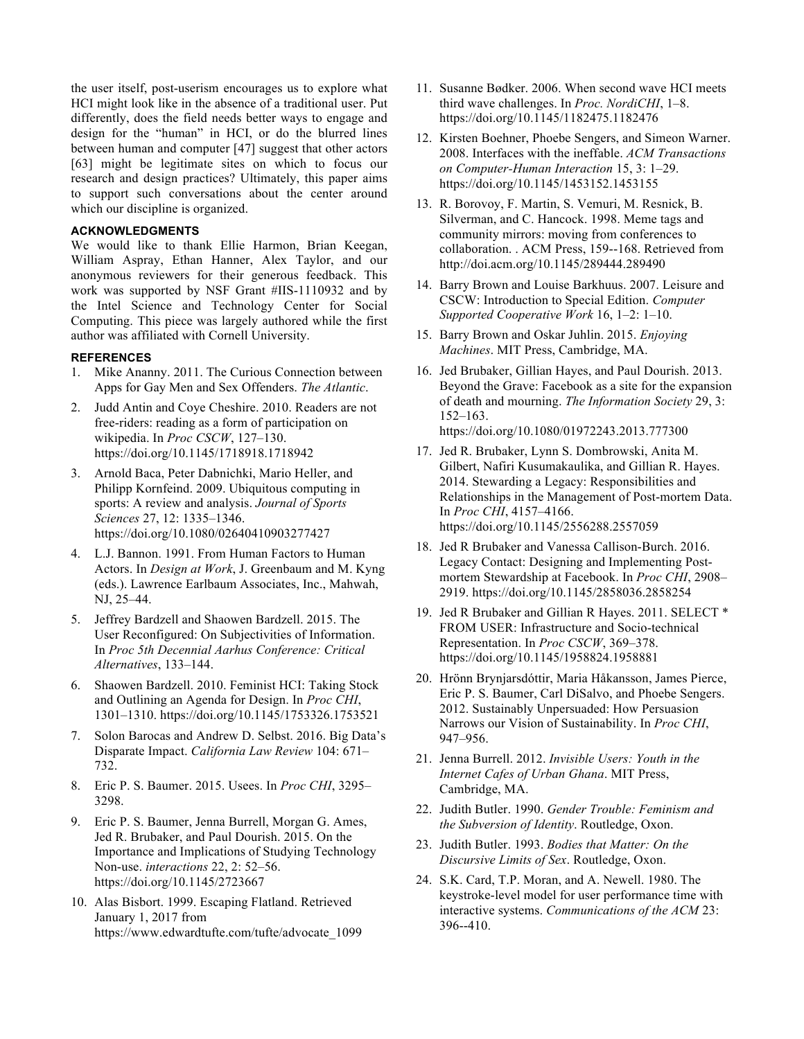the user itself, post-userism encourages us to explore what HCI might look like in the absence of a traditional user. Put differently, does the field needs better ways to engage and design for the "human" in HCI, or do the blurred lines between human and computer [47] suggest that other actors [63] might be legitimate sites on which to focus our research and design practices? Ultimately, this paper aims to support such conversations about the center around which our discipline is organized.

# **ACKNOWLEDGMENTS**

We would like to thank Ellie Harmon, Brian Keegan, William Aspray, Ethan Hanner, Alex Taylor, and our anonymous reviewers for their generous feedback. This work was supported by NSF Grant #IIS-1110932 and by the Intel Science and Technology Center for Social Computing. This piece was largely authored while the first author was affiliated with Cornell University.

#### **REFERENCES**

- 1. Mike Ananny. 2011. The Curious Connection between Apps for Gay Men and Sex Offenders. *The Atlantic*.
- 2. Judd Antin and Coye Cheshire. 2010. Readers are not free-riders: reading as a form of participation on wikipedia. In *Proc CSCW*, 127–130. https://doi.org/10.1145/1718918.1718942
- 3. Arnold Baca, Peter Dabnichki, Mario Heller, and Philipp Kornfeind. 2009. Ubiquitous computing in sports: A review and analysis. *Journal of Sports Sciences* 27, 12: 1335–1346. https://doi.org/10.1080/02640410903277427
- 4. L.J. Bannon. 1991. From Human Factors to Human Actors. In *Design at Work*, J. Greenbaum and M. Kyng (eds.). Lawrence Earlbaum Associates, Inc., Mahwah, NJ, 25–44.
- 5. Jeffrey Bardzell and Shaowen Bardzell. 2015. The User Reconfigured: On Subjectivities of Information. In *Proc 5th Decennial Aarhus Conference: Critical Alternatives*, 133–144.
- 6. Shaowen Bardzell. 2010. Feminist HCI: Taking Stock and Outlining an Agenda for Design. In *Proc CHI*, 1301–1310. https://doi.org/10.1145/1753326.1753521
- 7. Solon Barocas and Andrew D. Selbst. 2016. Big Data's Disparate Impact. *California Law Review* 104: 671– 732.
- 8. Eric P. S. Baumer. 2015. Usees. In *Proc CHI*, 3295– 3298.
- 9. Eric P. S. Baumer, Jenna Burrell, Morgan G. Ames, Jed R. Brubaker, and Paul Dourish. 2015. On the Importance and Implications of Studying Technology Non-use. *interactions* 22, 2: 52–56. https://doi.org/10.1145/2723667
- 10. Alas Bisbort. 1999. Escaping Flatland. Retrieved January 1, 2017 from https://www.edwardtufte.com/tufte/advocate\_1099
- 11. Susanne Bødker. 2006. When second wave HCI meets third wave challenges. In *Proc. NordiCHI*, 1–8. https://doi.org/10.1145/1182475.1182476
- 12. Kirsten Boehner, Phoebe Sengers, and Simeon Warner. 2008. Interfaces with the ineffable. *ACM Transactions on Computer-Human Interaction* 15, 3: 1–29. https://doi.org/10.1145/1453152.1453155
- 13. R. Borovoy, F. Martin, S. Vemuri, M. Resnick, B. Silverman, and C. Hancock. 1998. Meme tags and community mirrors: moving from conferences to collaboration. . ACM Press, 159--168. Retrieved from http://doi.acm.org/10.1145/289444.289490
- 14. Barry Brown and Louise Barkhuus. 2007. Leisure and CSCW: Introduction to Special Edition. *Computer Supported Cooperative Work* 16, 1–2: 1–10.
- 15. Barry Brown and Oskar Juhlin. 2015. *Enjoying Machines*. MIT Press, Cambridge, MA.
- 16. Jed Brubaker, Gillian Hayes, and Paul Dourish. 2013. Beyond the Grave: Facebook as a site for the expansion of death and mourning. *The Information Society* 29, 3: 152–163. https://doi.org/10.1080/01972243.2013.777300
- 17. Jed R. Brubaker, Lynn S. Dombrowski, Anita M. Gilbert, Nafiri Kusumakaulika, and Gillian R. Hayes. 2014. Stewarding a Legacy: Responsibilities and Relationships in the Management of Post-mortem Data. In *Proc CHI*, 4157–4166. https://doi.org/10.1145/2556288.2557059
- 18. Jed R Brubaker and Vanessa Callison-Burch. 2016. Legacy Contact: Designing and Implementing Postmortem Stewardship at Facebook. In *Proc CHI*, 2908– 2919. https://doi.org/10.1145/2858036.2858254
- 19. Jed R Brubaker and Gillian R Hayes. 2011. SELECT \* FROM USER: Infrastructure and Socio-technical Representation. In *Proc CSCW*, 369–378. https://doi.org/10.1145/1958824.1958881
- 20. Hrönn Brynjarsdóttir, Maria Håkansson, James Pierce, Eric P. S. Baumer, Carl DiSalvo, and Phoebe Sengers. 2012. Sustainably Unpersuaded: How Persuasion Narrows our Vision of Sustainability. In *Proc CHI*, 947–956.
- 21. Jenna Burrell. 2012. *Invisible Users: Youth in the Internet Cafes of Urban Ghana*. MIT Press, Cambridge, MA.
- 22. Judith Butler. 1990. *Gender Trouble: Feminism and the Subversion of Identity*. Routledge, Oxon.
- 23. Judith Butler. 1993. *Bodies that Matter: On the Discursive Limits of Sex*. Routledge, Oxon.
- 24. S.K. Card, T.P. Moran, and A. Newell. 1980. The keystroke-level model for user performance time with interactive systems. *Communications of the ACM* 23: 396--410.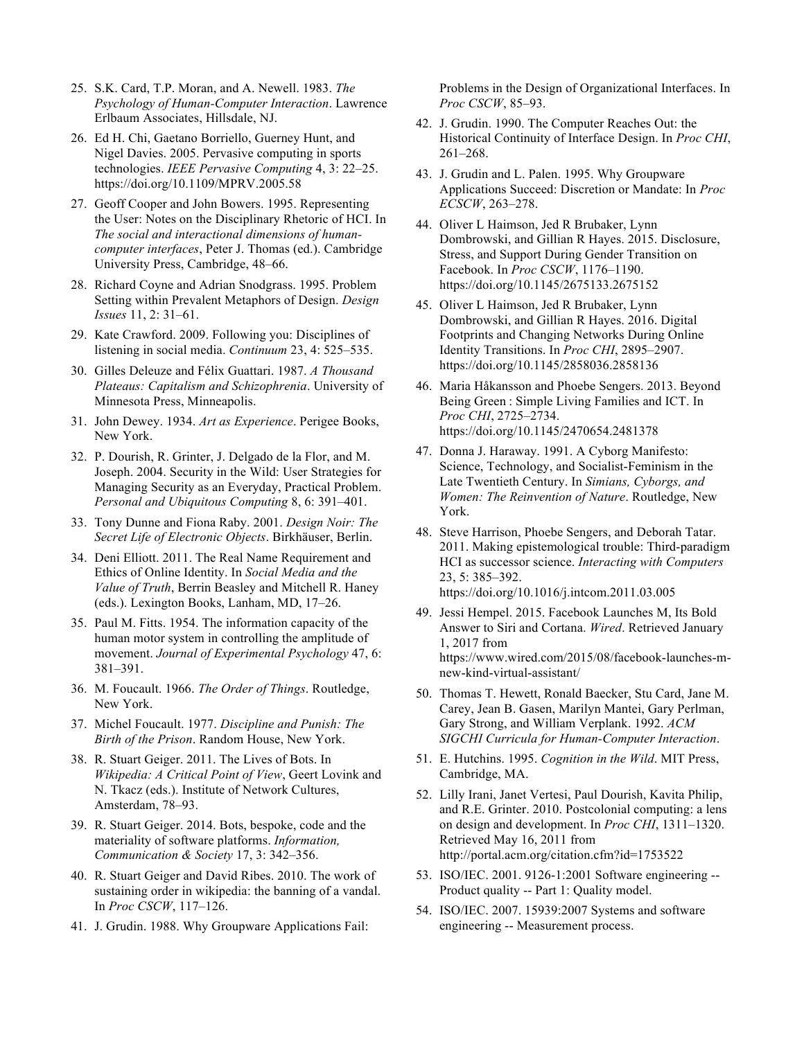- 25. S.K. Card, T.P. Moran, and A. Newell. 1983. *The Psychology of Human-Computer Interaction*. Lawrence Erlbaum Associates, Hillsdale, NJ.
- 26. Ed H. Chi, Gaetano Borriello, Guerney Hunt, and Nigel Davies. 2005. Pervasive computing in sports technologies. *IEEE Pervasive Computing* 4, 3: 22–25. https://doi.org/10.1109/MPRV.2005.58
- 27. Geoff Cooper and John Bowers. 1995. Representing the User: Notes on the Disciplinary Rhetoric of HCI. In *The social and interactional dimensions of humancomputer interfaces*, Peter J. Thomas (ed.). Cambridge University Press, Cambridge, 48–66.
- 28. Richard Coyne and Adrian Snodgrass. 1995. Problem Setting within Prevalent Metaphors of Design. *Design Issues* 11, 2: 31–61.
- 29. Kate Crawford. 2009. Following you: Disciplines of listening in social media. *Continuum* 23, 4: 525–535.
- 30. Gilles Deleuze and Félix Guattari. 1987. *A Thousand Plateaus: Capitalism and Schizophrenia*. University of Minnesota Press, Minneapolis.
- 31. John Dewey. 1934. *Art as Experience*. Perigee Books, New York.
- 32. P. Dourish, R. Grinter, J. Delgado de la Flor, and M. Joseph. 2004. Security in the Wild: User Strategies for Managing Security as an Everyday, Practical Problem. *Personal and Ubiquitous Computing* 8, 6: 391–401.
- 33. Tony Dunne and Fiona Raby. 2001. *Design Noir: The Secret Life of Electronic Objects*. Birkhäuser, Berlin.
- 34. Deni Elliott. 2011. The Real Name Requirement and Ethics of Online Identity. In *Social Media and the Value of Truth*, Berrin Beasley and Mitchell R. Haney (eds.). Lexington Books, Lanham, MD, 17–26.
- 35. Paul M. Fitts. 1954. The information capacity of the human motor system in controlling the amplitude of movement. *Journal of Experimental Psychology* 47, 6: 381–391.
- 36. M. Foucault. 1966. *The Order of Things*. Routledge, New York.
- 37. Michel Foucault. 1977. *Discipline and Punish: The Birth of the Prison*. Random House, New York.
- 38. R. Stuart Geiger. 2011. The Lives of Bots. In *Wikipedia: A Critical Point of View*, Geert Lovink and N. Tkacz (eds.). Institute of Network Cultures, Amsterdam, 78–93.
- 39. R. Stuart Geiger. 2014. Bots, bespoke, code and the materiality of software platforms. *Information, Communication & Society* 17, 3: 342–356.
- 40. R. Stuart Geiger and David Ribes. 2010. The work of sustaining order in wikipedia: the banning of a vandal. In *Proc CSCW*, 117–126.
- 41. J. Grudin. 1988. Why Groupware Applications Fail:

Problems in the Design of Organizational Interfaces. In *Proc CSCW*, 85–93.

- 42. J. Grudin. 1990. The Computer Reaches Out: the Historical Continuity of Interface Design. In *Proc CHI*, 261–268.
- 43. J. Grudin and L. Palen. 1995. Why Groupware Applications Succeed: Discretion or Mandate: In *Proc ECSCW*, 263–278.
- 44. Oliver L Haimson, Jed R Brubaker, Lynn Dombrowski, and Gillian R Hayes. 2015. Disclosure, Stress, and Support During Gender Transition on Facebook. In *Proc CSCW*, 1176–1190. https://doi.org/10.1145/2675133.2675152
- 45. Oliver L Haimson, Jed R Brubaker, Lynn Dombrowski, and Gillian R Hayes. 2016. Digital Footprints and Changing Networks During Online Identity Transitions. In *Proc CHI*, 2895–2907. https://doi.org/10.1145/2858036.2858136
- 46. Maria Håkansson and Phoebe Sengers. 2013. Beyond Being Green : Simple Living Families and ICT. In *Proc CHI*, 2725–2734. https://doi.org/10.1145/2470654.2481378
- 47. Donna J. Haraway. 1991. A Cyborg Manifesto: Science, Technology, and Socialist-Feminism in the Late Twentieth Century. In *Simians, Cyborgs, and Women: The Reinvention of Nature*. Routledge, New York.
- 48. Steve Harrison, Phoebe Sengers, and Deborah Tatar. 2011. Making epistemological trouble: Third-paradigm HCI as successor science. *Interacting with Computers* 23, 5: 385–392. https://doi.org/10.1016/j.intcom.2011.03.005
- 49. Jessi Hempel. 2015. Facebook Launches M, Its Bold Answer to Siri and Cortana. *Wired*. Retrieved January 1, 2017 from https://www.wired.com/2015/08/facebook-launches-mnew-kind-virtual-assistant/
- 50. Thomas T. Hewett, Ronald Baecker, Stu Card, Jane M. Carey, Jean B. Gasen, Marilyn Mantei, Gary Perlman, Gary Strong, and William Verplank. 1992. *ACM SIGCHI Curricula for Human-Computer Interaction*.
- 51. E. Hutchins. 1995. *Cognition in the Wild*. MIT Press, Cambridge, MA.
- 52. Lilly Irani, Janet Vertesi, Paul Dourish, Kavita Philip, and R.E. Grinter. 2010. Postcolonial computing: a lens on design and development. In *Proc CHI*, 1311–1320. Retrieved May 16, 2011 from http://portal.acm.org/citation.cfm?id=1753522
- 53. ISO/IEC. 2001. 9126-1:2001 Software engineering -- Product quality -- Part 1: Quality model.
- 54. ISO/IEC. 2007. 15939:2007 Systems and software engineering -- Measurement process.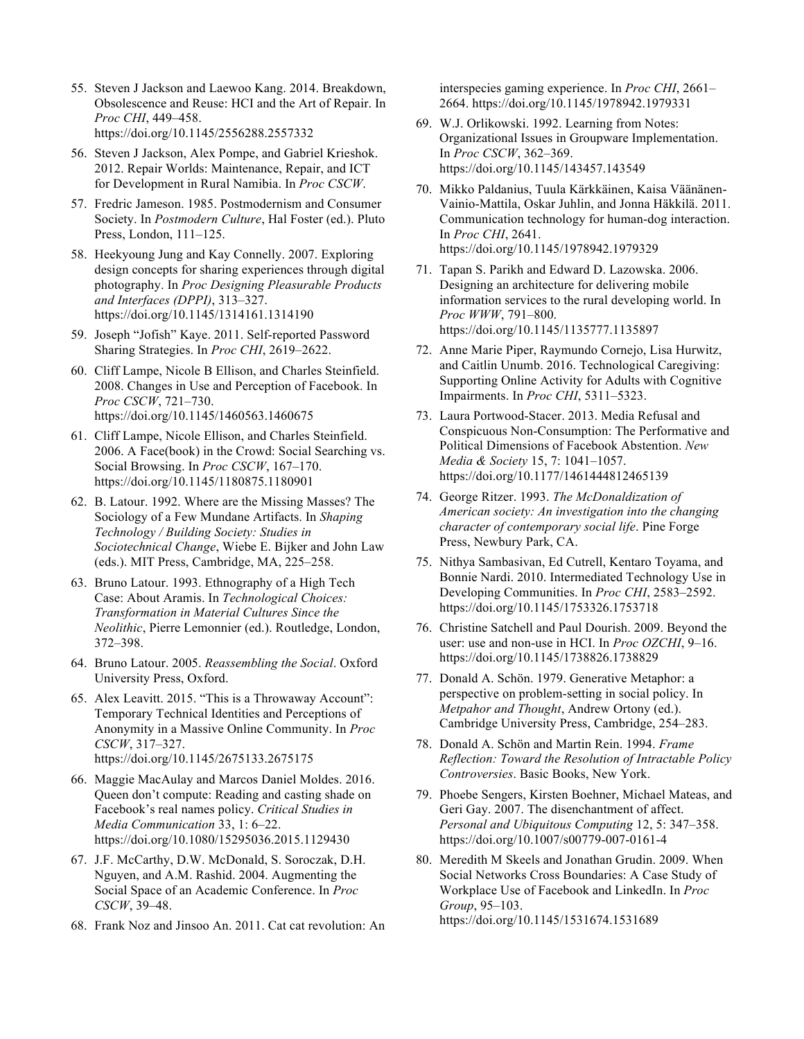- 55. Steven J Jackson and Laewoo Kang. 2014. Breakdown, Obsolescence and Reuse: HCI and the Art of Repair. In *Proc CHI*, 449–458. https://doi.org/10.1145/2556288.2557332
- 56. Steven J Jackson, Alex Pompe, and Gabriel Krieshok. 2012. Repair Worlds: Maintenance, Repair, and ICT for Development in Rural Namibia. In *Proc CSCW*.
- 57. Fredric Jameson. 1985. Postmodernism and Consumer Society. In *Postmodern Culture*, Hal Foster (ed.). Pluto Press, London, 111–125.
- 58. Heekyoung Jung and Kay Connelly. 2007. Exploring design concepts for sharing experiences through digital photography. In *Proc Designing Pleasurable Products and Interfaces (DPPI)*, 313–327. https://doi.org/10.1145/1314161.1314190
- 59. Joseph "Jofish" Kaye. 2011. Self-reported Password Sharing Strategies. In *Proc CHI*, 2619–2622.
- 60. Cliff Lampe, Nicole B Ellison, and Charles Steinfield. 2008. Changes in Use and Perception of Facebook. In *Proc CSCW*, 721–730. https://doi.org/10.1145/1460563.1460675
- 61. Cliff Lampe, Nicole Ellison, and Charles Steinfield. 2006. A Face(book) in the Crowd: Social Searching vs. Social Browsing. In *Proc CSCW*, 167–170. https://doi.org/10.1145/1180875.1180901
- 62. B. Latour. 1992. Where are the Missing Masses? The Sociology of a Few Mundane Artifacts. In *Shaping Technology / Building Society: Studies in Sociotechnical Change*, Wiebe E. Bijker and John Law (eds.). MIT Press, Cambridge, MA, 225–258.
- 63. Bruno Latour. 1993. Ethnography of a High Tech Case: About Aramis. In *Technological Choices: Transformation in Material Cultures Since the Neolithic*, Pierre Lemonnier (ed.). Routledge, London, 372–398.
- 64. Bruno Latour. 2005. *Reassembling the Social*. Oxford University Press, Oxford.
- 65. Alex Leavitt. 2015. "This is a Throwaway Account": Temporary Technical Identities and Perceptions of Anonymity in a Massive Online Community. In *Proc CSCW*, 317–327. https://doi.org/10.1145/2675133.2675175
- 66. Maggie MacAulay and Marcos Daniel Moldes. 2016. Queen don't compute: Reading and casting shade on Facebook's real names policy. *Critical Studies in Media Communication* 33, 1: 6–22. https://doi.org/10.1080/15295036.2015.1129430
- 67. J.F. McCarthy, D.W. McDonald, S. Soroczak, D.H. Nguyen, and A.M. Rashid. 2004. Augmenting the Social Space of an Academic Conference. In *Proc CSCW*, 39–48.
- 68. Frank Noz and Jinsoo An. 2011. Cat cat revolution: An

interspecies gaming experience. In *Proc CHI*, 2661– 2664. https://doi.org/10.1145/1978942.1979331

- 69. W.J. Orlikowski. 1992. Learning from Notes: Organizational Issues in Groupware Implementation. In *Proc CSCW*, 362–369. https://doi.org/10.1145/143457.143549
- 70. Mikko Paldanius, Tuula Kärkkäinen, Kaisa Väänänen-Vainio-Mattila, Oskar Juhlin, and Jonna Häkkilä. 2011. Communication technology for human-dog interaction. In *Proc CHI*, 2641. https://doi.org/10.1145/1978942.1979329
- 71. Tapan S. Parikh and Edward D. Lazowska. 2006. Designing an architecture for delivering mobile information services to the rural developing world. In *Proc WWW*, 791–800. https://doi.org/10.1145/1135777.1135897
- 72. Anne Marie Piper, Raymundo Cornejo, Lisa Hurwitz, and Caitlin Unumb. 2016. Technological Caregiving: Supporting Online Activity for Adults with Cognitive Impairments. In *Proc CHI*, 5311–5323.
- 73. Laura Portwood-Stacer. 2013. Media Refusal and Conspicuous Non-Consumption: The Performative and Political Dimensions of Facebook Abstention. *New Media & Society* 15, 7: 1041–1057. https://doi.org/10.1177/1461444812465139
- 74. George Ritzer. 1993. *The McDonaldization of American society: An investigation into the changing character of contemporary social life*. Pine Forge Press, Newbury Park, CA.
- 75. Nithya Sambasivan, Ed Cutrell, Kentaro Toyama, and Bonnie Nardi. 2010. Intermediated Technology Use in Developing Communities. In *Proc CHI*, 2583–2592. https://doi.org/10.1145/1753326.1753718
- 76. Christine Satchell and Paul Dourish. 2009. Beyond the user: use and non-use in HCI. In *Proc OZCHI*, 9–16. https://doi.org/10.1145/1738826.1738829
- 77. Donald A. Schön. 1979. Generative Metaphor: a perspective on problem-setting in social policy. In *Metpahor and Thought*, Andrew Ortony (ed.). Cambridge University Press, Cambridge, 254–283.
- 78. Donald A. Schön and Martin Rein. 1994. *Frame Reflection: Toward the Resolution of Intractable Policy Controversies*. Basic Books, New York.
- 79. Phoebe Sengers, Kirsten Boehner, Michael Mateas, and Geri Gay. 2007. The disenchantment of affect. *Personal and Ubiquitous Computing* 12, 5: 347–358. https://doi.org/10.1007/s00779-007-0161-4
- 80. Meredith M Skeels and Jonathan Grudin. 2009. When Social Networks Cross Boundaries: A Case Study of Workplace Use of Facebook and LinkedIn. In *Proc Group*, 95–103. https://doi.org/10.1145/1531674.1531689